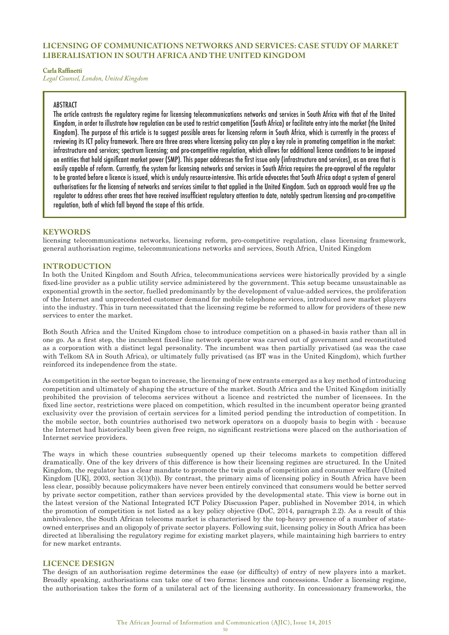# **LICENSING OF COMMUNICATIONS NETWORKS AND SERVICES: CASE STUDY OF MARKET LIBERALISATION IN SOUTH AFRICA AND THE UNITED KINGDOM**

#### **Carla Raffinetti**

*Legal Counsel, London, United Kingdom*

# ABSTRACT

The article contrasts the regulatory regime for licensing telecommunications networks and services in South Africa with that of the United Kingdom, in order to illustrate how regulation can be used to restrict competition (South Africa) or facilitate entry into the market (the United Kingdom). The purpose of this article is to suggest possible areas for licensing reform in South Africa, which is currently in the process of reviewing its ICT policy framework. There are three areas where licensing policy can play a key role in promoting competition in the market: infrastructure and services; spectrum licensing; and pro-competitive regulation, which allows for additional licence conditions to be imposed on entities that hold significant market power (SMP). This paper addresses the first issue only (infrastructure and services), as an area that is easily capable of reform. Currently, the system for licensing networks and services in South Africa requires the pre-approval of the regulator to be granted before a licence is issued, which is unduly resource-intensive. This article advocates that South Africa adopt a system of general authorisations for the licensing of networks and services similar to that applied in the United Kingdom. Such an approach would free up the regulator to address other areas that have received insufficient regulatory attention to date, notably spectrum licensing and pro-competitive regulation, both of which fall beyond the scope of this article.

# **KEYWORDS**

licensing telecommunications networks, licensing reform, pro-competitive regulation, class licensing framework, general authorisation regime, telecommunications networks and services, South Africa, United Kingdom

# **INTRODUCTION**

In both the United Kingdom and South Africa, telecommunications services were historically provided by a single fixed-line provider as a public utility service administered by the government. This setup became unsustainable as exponential growth in the sector, fuelled predominantly by the development of value-added services, the proliferation of the Internet and unprecedented customer demand for mobile telephone services, introduced new market players into the industry. This in turn necessitated that the licensing regime be reformed to allow for providers of these new services to enter the market.

Both South Africa and the United Kingdom chose to introduce competition on a phased-in basis rather than all in one go. As a first step, the incumbent fixed-line network operator was carved out of government and reconstituted as a corporation with a distinct legal personality. The incumbent was then partially privatised (as was the case with Telkom SA in South Africa), or ultimately fully privatised (as BT was in the United Kingdom), which further reinforced its independence from the state.

As competition in the sector began to increase, the licensing of new entrants emerged as a key method of introducing competition and ultimately of shaping the structure of the market. South Africa and the United Kingdom initially prohibited the provision of telecoms services without a licence and restricted the number of licensees. In the fixed line sector, restrictions were placed on competition, which resulted in the incumbent operator being granted exclusivity over the provision of certain services for a limited period pending the introduction of competition. In the mobile sector, both countries authorised two network operators on a duopoly basis to begin with - because the Internet had historically been given free reign, no significant restrictions were placed on the authorisation of Internet service providers.

The ways in which these countries subsequently opened up their telecoms markets to competition differed dramatically. One of the key drivers of this difference is how their licensing regimes are structured. In the United Kingdom, the regulator has a clear mandate to promote the twin goals of competition and consumer welfare (United Kingdom [UK], 2003, section 3(1)(b)). By contrast, the primary aims of licensing policy in South Africa have been less clear, possibly because policymakers have never been entirely convinced that consumers would be better served by private sector competition, rather than services provided by the developmental state. This view is borne out in the latest version of the National Integrated ICT Policy Discussion Paper, published in November 2014, in which the promotion of competition is not listed as a key policy objective (DoC, 2014, paragraph 2.2). As a result of this ambivalence, the South African telecoms market is characterised by the top-heavy presence of a number of stateowned enterprises and an oligopoly of private sector players. Following suit, licensing policy in South Africa has been directed at liberalising the regulatory regime for existing market players, while maintaining high barriers to entry for new market entrants.

# **LICENCE DESIGN**

The design of an authorisation regime determines the ease (or difficulty) of entry of new players into a market. Broadly speaking, authorisations can take one of two forms: licences and concessions. Under a licensing regime, the authorisation takes the form of a unilateral act of the licensing authority. In concessionary frameworks, the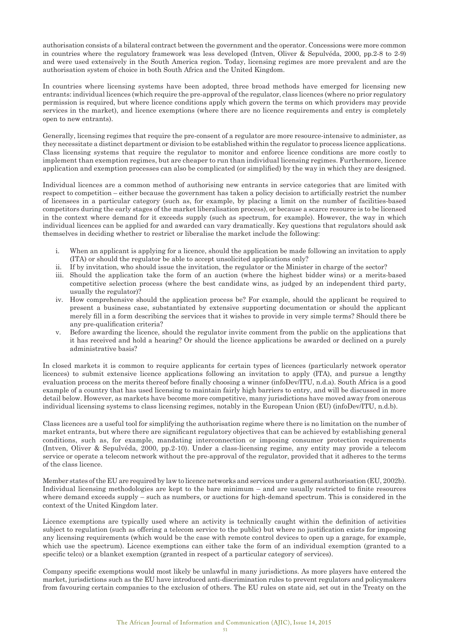authorisation consists of a bilateral contract between the government and the operator. Concessions were more common in countries where the regulatory framework was less developed (Intven, Oliver & Sepulvéda, 2000, pp.2-8 to 2-9) and were used extensively in the South America region. Today, licensing regimes are more prevalent and are the authorisation system of choice in both South Africa and the United Kingdom.

In countries where licensing systems have been adopted, three broad methods have emerged for licensing new entrants: individual licences (which require the pre-approval of the regulator, class licences (where no prior regulatory permission is required, but where licence conditions apply which govern the terms on which providers may provide services in the market), and licence exemptions (where there are no licence requirements and entry is completely open to new entrants).

Generally, licensing regimes that require the pre-consent of a regulator are more resource-intensive to administer, as they necessitate a distinct department or division to be established within the regulator to process licence applications. Class licensing systems that require the regulator to monitor and enforce licence conditions are more costly to implement than exemption regimes, but are cheaper to run than individual licensing regimes. Furthermore, licence application and exemption processes can also be complicated (or simplified) by the way in which they are designed.

Individual licences are a common method of authorising new entrants in service categories that are limited with respect to competition – either because the government has taken a policy decision to artificially restrict the number of licensees in a particular category (such as, for example, by placing a limit on the number of facilities-based competitors during the early stages of the market liberalisation process), or because a scarce resource is to be licensed in the context where demand for it exceeds supply (such as spectrum, for example). However, the way in which individual licences can be applied for and awarded can vary dramatically. Key questions that regulators should ask themselves in deciding whether to restrict or liberalise the market include the following:

- i. When an applicant is applying for a licence, should the application be made following an invitation to apply (ITA) or should the regulator be able to accept unsolicited applications only?
- ii. If by invitation, who should issue the invitation, the regulator or the Minister in charge of the sector?
- iii. Should the application take the form of an auction (where the highest bidder wins) or a merits-based competitive selection process (where the best candidate wins, as judged by an independent third party, usually the regulator)?
- iv. How comprehensive should the application process be? For example, should the applicant be required to present a business case, substantiated by extensive supporting documentation or should the applicant merely fill in a form describing the services that it wishes to provide in very simple terms? Should there be any pre-qualification criteria?
- v. Before awarding the licence, should the regulator invite comment from the public on the applications that it has received and hold a hearing? Or should the licence applications be awarded or declined on a purely administrative basis?

In closed markets it is common to require applicants for certain types of licences (particularly network operator licences) to submit extensive licence applications following an invitation to apply (ITA), and pursue a lengthy evaluation process on the merits thereof before finally choosing a winner (infoDev/ITU, n.d.a). South Africa is a good example of a country that has used licensing to maintain fairly high barriers to entry, and will be discussed in more detail below. However, as markets have become more competitive, many jurisdictions have moved away from onerous individual licensing systems to class licensing regimes, notably in the European Union (EU) (infoDev/ITU, n.d.b).

Class licences are a useful tool for simplifying the authorisation regime where there is no limitation on the number of market entrants, but where there are significant regulatory objectives that can be achieved by establishing general conditions, such as, for example, mandating interconnection or imposing consumer protection requirements (Intven, Oliver & Sepulvéda, 2000, pp.2-10). Under a class-licensing regime, any entity may provide a telecom service or operate a telecom network without the pre-approval of the regulator, provided that it adheres to the terms of the class licence.

Member states of the EU are required by law to licence networks and services under a general authorisation (EU, 2002b). Individual licensing methodologies are kept to the bare minimum – and are usually restricted to finite resources where demand exceeds supply – such as numbers, or auctions for high-demand spectrum. This is considered in the context of the United Kingdom later.

Licence exemptions are typically used where an activity is technically caught within the definition of activities subject to regulation (such as offering a telecom service to the public) but where no justification exists for imposing any licensing requirements (which would be the case with remote control devices to open up a garage, for example, which use the spectrum). Licence exemptions can either take the form of an individual exemption (granted to a specific telco) or a blanket exemption (granted in respect of a particular category of services).

Company specific exemptions would most likely be unlawful in many jurisdictions. As more players have entered the market, jurisdictions such as the EU have introduced anti-discrimination rules to prevent regulators and policymakers from favouring certain companies to the exclusion of others. The EU rules on state aid, set out in the Treaty on the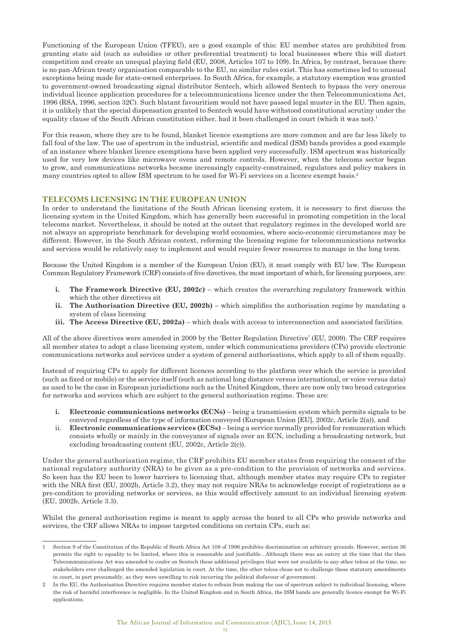Functioning of the European Union (TFEU), are a good example of this: EU member states are prohibited from granting state aid (such as subsidies or other preferential treatment) to local businesses where this will distort competition and create an unequal playing field (EU, 2008, Articles 107 to 109). In Africa, by contrast, because there is no pan-African treaty organisation comparable to the EU, no similar rules exist. This has sometimes led to unusual exceptions being made for state-owned enterprises. In South Africa, for example, a statutory exemption was granted to government-owned broadcasting signal distributor Sentech, which allowed Sentech to bypass the very onerous individual licence application procedures for a telecommunications licence under the then Telecommunications Act, 1996 (RSA, 1996, section 32C). Such blatant favouritism would not have passed legal muster in the EU. Then again, it is unlikely that the special dispensation granted to Sentech would have withstood constitutional scrutiny under the equality clause of the South African constitution either, had it been challenged in court (which it was not).<sup>1</sup>

For this reason, where they are to be found, blanket licence exemptions are more common and are far less likely to fall foul of the law. The use of spectrum in the industrial, scientific and medical (ISM) bands provides a good example of an instance where blanket licence exemptions have been applied very successfully. ISM spectrum was historically used for very low devices like microwave ovens and remote controls. However, when the telecoms sector began to grow, and communications networks became increasingly capacity-constrained, regulators and policy makers in many countries opted to allow ISM spectrum to be used for Wi-Fi services on a licence exempt basis.2

# **TELECOMS LICENSING IN THE EUROPEAN UNION**

In order to understand the limitations of the South African licensing system, it is necessary to first discuss the licensing system in the United Kingdom, which has generally been successful in promoting competition in the local telecoms market. Nevertheless, it should be noted at the outset that regulatory regimes in the developed world are not always an appropriate benchmark for developing world economies, where socio-economic circumstances may be different. However, in the South African context, reforming the licensing regime for telecommunications networks and services would be relatively easy to implement and would require fewer resources to manage in the long term.

Because the United Kingdom is a member of the European Union (EU), it must comply with EU law. The European Common Regulatory Framework (CRF) consists of five directives, the most important of which, for licensing purposes, are:

- **i. The Framework Directive (EU, 2002c)** which creates the overarching regulatory framework within which the other directives sit
- **ii. The Authorisation Directive (EU, 2002b)** which simplifies the authorisation regime by mandating a system of class licensing
- **iii. The Access Directive (EU, 2002a)** which deals with access to interconnection and associated facilities.

All of the above directives were amended in 2009 by the 'Better Regulation Directive' (EU, 2009). The CRF requires all member states to adopt a class licensing system, under which communications providers (CPs) provide electronic communications networks and services under a system of general authorisations, which apply to all of them equally.

Instead of requiring CPs to apply for different licences according to the platform over which the service is provided (such as fixed or mobile) or the service itself (such as national long distance versus international, or voice versus data) as used to be the case in European jurisdictions such as the United Kingdom, there are now only two broad categories for networks and services which are subject to the general authorisation regime. These are:

- **i. Electronic communications networks (ECNs)** being a transmission system which permits signals to be conveyed regardless of the type of information conveyed (European Union [EU], 2002c, Article 2(a)), and
- ii. **Electronic communications services (ECSs)** being a service normally provided for remuneration which consists wholly or mainly in the conveyance of signals over an ECN, including a broadcasting network, but excluding broadcasting content (EU, 2002c, Article 2(c)).

Under the general authorisation regime, the CRF prohibits EU member states from requiring the consent of the national regulatory authority (NRA) to be given as a pre-condition to the provision of networks and services. So keen has the EU been to lower barriers to licensing that, although member states may require CPs to register with the NRA first (EU, 2002b, Article 3.2), they may not require NRAs to acknowledge receipt of registrations as a pre-condition to providing networks or services, as this would effectively amount to an individual licensing system (EU, 2002b, Article 3.3).

Whilst the general authorisation regime is meant to apply across the board to all CPs who provide networks and services, the CRF allows NRAs to impose targeted conditions on certain CPs, such as:

<sup>1</sup> Section 9 of the Constitution of the Republic of South Africa Act 108 of 1996 prohibits discrimination on arbitrary grounds. However, section 36 permits the right to equality to be limited, where this is reasonable and justifiable.. Although there was an outcry at the time that the then Telecommunications Act was amended to confer on Sentech these additional privileges that were not available to any other telcos at the time, no stakeholders ever challenged the amended legislation in court. At the time, the other telcos chose not to challenge these statutory amendments in court, in part presumably, as they were unwilling to risk incurring the political disfavour of government.

<sup>2</sup> In the EU, the Authorisation Directive requires member states to refrain from making the use of spectrum subject to individual licensing, where the risk of harmful interference is negligible. In the United Kingdom and in South Africa, the ISM bands are generally licence exempt for Wi-Fi applications.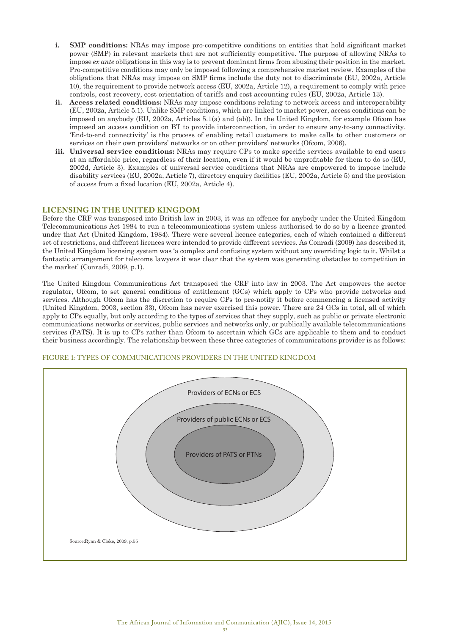- **i. SMP conditions:** NRAs may impose pro-competitive conditions on entities that hold significant market power (SMP) in relevant markets that are not sufficiently competitive. The purpose of allowing NRAs to impose *ex ante* obligations in this way is to prevent dominant firms from abusing their position in the market. Pro-competitive conditions may only be imposed following a comprehensive market review. Examples of the obligations that NRAs may impose on SMP firms include the duty not to discriminate (EU, 2002a, Article 10), the requirement to provide network access (EU, 2002a, Article 12), a requirement to comply with price controls, cost recovery, cost orientation of tariffs and cost accounting rules (EU, 2002a, Article 13).
- **ii. Access related conditions:** NRAs may impose conditions relating to network access and interoperability (EU, 2002a, Article 5.1). Unlike SMP conditions, which are linked to market power, access conditions can be imposed on anybody (EU, 2002a, Articles 5.1(a) and (ab)). In the United Kingdom, for example Ofcom has imposed an access condition on BT to provide interconnection, in order to ensure any-to-any connectivity. 'End-to-end connectivity' is the process of enabling retail customers to make calls to other customers or services on their own providers' networks or on other providers' networks (Ofcom, 2006).
- **iii. Universal service conditions:** NRAs may require CPs to make specific services available to end users at an affordable price, regardless of their location, even if it would be unprofitable for them to do so (EU, 2002d, Article 3). Examples of universal service conditions that NRAs are empowered to impose include disability services (EU, 2002a, Article 7), directory enquiry facilities (EU, 2002a, Article 5) and the provision of access from a fixed location (EU, 2002a, Article 4).

# **LICENSING IN THE UNITED KINGDOM**

Before the CRF was transposed into British law in 2003, it was an offence for anybody under the United Kingdom Telecommunications Act 1984 to run a telecommunications system unless authorised to do so by a licence granted under that Act (United Kingdom, 1984). There were several licence categories, each of which contained a different set of restrictions, and different licences were intended to provide different services. As Conradi (2009) has described it, the United Kingdom licensing system was 'a complex and confusing system without any overriding logic to it. Whilst a fantastic arrangement for telecoms lawyers it was clear that the system was generating obstacles to competition in the market' (Conradi, 2009, p.1).

The United Kingdom Communications Act transposed the CRF into law in 2003. The Act empowers the sector regulator, Ofcom, to set general conditions of entitlement (GCs) which apply to CPs who provide networks and services. Although Ofcom has the discretion to require CPs to pre-notify it before commencing a licensed activity (United Kingdom, 2003, section 33), Ofcom has never exercised this power. There are 24 GCs in total, all of which apply to CPs equally, but only according to the types of services that they supply, such as public or private electronic communications networks or services, public services and networks only, or publically available telecommunications services (PATS). It is up to CPs rather than Ofcom to ascertain which GCs are applicable to them and to conduct their business accordingly. The relationship between these three categories of communications provider is as follows:



# FIGURE 1: TYPES OF COMMUNICATIONS PROVIDERS IN THE UNITED KINGDOM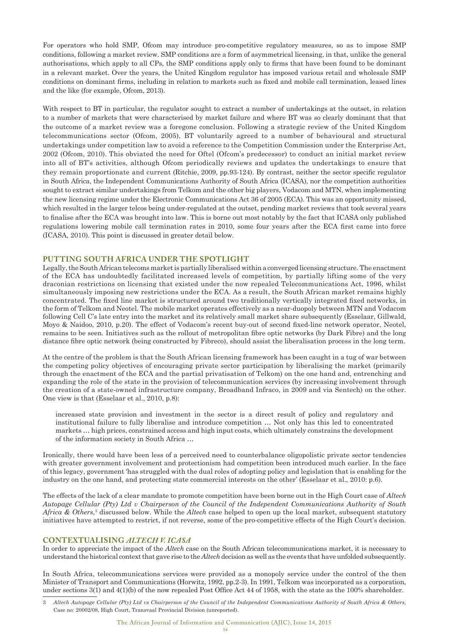For operators who hold SMP, Ofcom may introduce pro-competitive regulatory measures, so as to impose SMP conditions, following a market review. SMP conditions are a form of asymmetrical licensing, in that, unlike the general authorisations, which apply to all CPs, the SMP conditions apply only to firms that have been found to be dominant in a relevant market. Over the years, the United Kingdom regulator has imposed various retail and wholesale SMP conditions on dominant firms, including in relation to markets such as fixed and mobile call termination, leased lines and the like (for example, Ofcom, 2013).

With respect to BT in particular, the regulator sought to extract a number of undertakings at the outset, in relation to a number of markets that were characterised by market failure and where BT was so clearly dominant that that the outcome of a market review was a foregone conclusion. Following a strategic review of the United Kingdom telecommunications sector (Ofcom, 2005), BT voluntarily agreed to a number of behavioural and structural undertakings under competition law to avoid a reference to the Competition Commission under the Enterprise Act, 2002 (Ofcom, 2010). This obviated the need for Oftel (Ofcom's predecessor) to conduct an initial market review into all of BT's activities, although Ofcom periodically reviews and updates the undertakings to ensure that they remain proportionate and current (Ritchie, 2009, pp.93-124). By contrast, neither the sector specific regulator in South Africa, the Independent Communications Authority of South Africa (ICASA), nor the competition authorities sought to extract similar undertakings from Telkom and the other big players, Vodacom and MTN, when implementing the new licensing regime under the Electronic Communications Act 36 of 2005 (ECA). This was an opportunity missed, which resulted in the larger telcos being under-regulated at the outset, pending market reviews that took several years to finalise after the ECA was brought into law. This is borne out most notably by the fact that ICASA only published regulations lowering mobile call termination rates in 2010, some four years after the ECA first came into force (ICASA, 2010). This point is discussed in greater detail below.

# **PUTTING SOUTH AFRICA UNDER THE SPOTLIGHT**

Legally, the South African telecoms market is partially liberalised within a converged licensing structure. The enactment of the ECA has undoubtedly facilitated increased levels of competition, by partially lifting some of the very draconian restrictions on licensing that existed under the now repealed Telecommunications Act, 1996, whilst simultaneously imposing new restrictions under the ECA. As a result, the South African market remains highly concentrated. The fixed line market is structured around two traditionally vertically integrated fixed networks, in the form of Telkom and Neotel. The mobile market operates effectively as a near-duopoly between MTN and Vodacom following Cell C's late entry into the market and its relatively small market share subsequently (Esselaar, Gillwald, Moyo & Naidoo, 2010, p.20). The effect of Vodacom's recent buy-out of second fixed-line network operator, Neotel, remains to be seen. Initiatives such as the rollout of metropolitan fibre optic networks (by Dark Fibre) and the long distance fibre optic network (being constructed by Fibreco), should assist the liberalisation process in the long term.

At the centre of the problem is that the South African licensing framework has been caught in a tug of war between the competing policy objectives of encouraging private sector participation by liberalising the market (primarily through the enactment of the ECA and the partial privatisation of Telkom) on the one hand and, entrenching and expanding the role of the state in the provision of telecommunication services (by increasing involvement through the creation of a state-owned infrastructure company, Broadband Infraco, in 2009 and via Sentech) on the other. One view is that (Esselaar et al., 2010, p.8):

increased state provision and investment in the sector is a direct result of policy and regulatory and institutional failure to fully liberalise and introduce competition … Not only has this led to concentrated markets … high prices, constrained access and high input costs, which ultimately constrains the development of the information society in South Africa …

Ironically, there would have been less of a perceived need to counterbalance oligopolistic private sector tendencies with greater government involvement and protectionism had competition been introduced much earlier. In the face of this legacy, government 'has struggled with the dual roles of adopting policy and legislation that is enabling for the industry on the one hand, and protecting state commercial interests on the other' (Esselaar et al., 2010: p.6).

The effects of the lack of a clear mandate to promote competition have been borne out in the High Court case of *Altech Autopage Cellular (Pty) Ltd v Chairperson of the Council of the Independent Communications Authority of South*  Africa & Others,<sup>3</sup> discussed below. While the *Altech* case helped to open up the local market, subsequent statutory initiatives have attempted to restrict, if not reverse, some of the pro-competitive effects of the High Court's decision.

# **CONTEXTUALISING** *ALTECH V. ICASA*

In order to appreciate the impact of the *Altech* case on the South African telecommunications market, it is necessary to understand the historical context that gave rise to the *Altech* decision as well as the events that have unfolded subsequently.

In South Africa, telecommunications services were provided as a monopoly service under the control of the then Minister of Transport and Communications (Horwitz, 1992, pp.2-3). In 1991, Telkom was incorporated as a corporation, under sections 3(1) and 4(1)(b) of the now repealed Post Office Act 44 of 1958, with the state as the 100% shareholder.

<sup>3</sup> *Altech Autopage Cellular (Pty) Ltd vs Chairperson of the Council of the Independent Communications Authority of South Africa & Others,* Case no: 20002/08, High Court, Transvaal Provincial Division (unreported).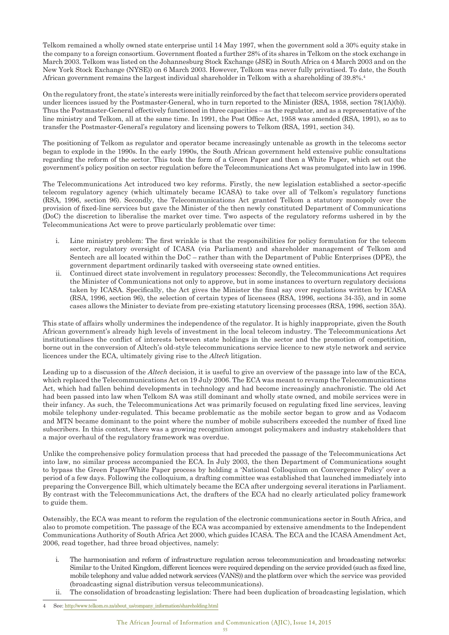Telkom remained a wholly owned state enterprise until 14 May 1997, when the government sold a 30% equity stake in the company to a foreign consortium. Government floated a further 28% of its shares in Telkom on the stock exchange in March 2003. Telkom was listed on the Johannesburg Stock Exchange (JSE) in South Africa on 4 March 2003 and on the New York Stock Exchange (NYSE)) on 6 March 2003. However, Telkom was never fully privatised. To date, the South African government remains the largest individual shareholder in Telkom with a shareholding of 39.8%.4

On the regulatory front, the state's interests were initially reinforced by the fact that telecom service providers operated under licences issued by the Postmaster-General, who in turn reported to the Minister (RSA, 1958, section 78(1A)(b)). Thus the Postmaster-General effectively functioned in three capacities – as the regulator, and as a representative of the line ministry and Telkom, all at the same time. In 1991, the Post Office Act, 1958 was amended (RSA, 1991), so as to transfer the Postmaster-General's regulatory and licensing powers to Telkom (RSA, 1991, section 34).

The positioning of Telkom as regulator and operator became increasingly untenable as growth in the telecoms sector began to explode in the 1990s. In the early 1990s, the South African government held extensive public consultations regarding the reform of the sector. This took the form of a Green Paper and then a White Paper, which set out the government's policy position on sector regulation before the Telecommunications Act was promulgated into law in 1996.

The Telecommunications Act introduced two key reforms. Firstly, the new legislation established a sector-specific telecom regulatory agency (which ultimately became ICASA) to take over all of Telkom's regulatory functions (RSA, 1996, section 96). Secondly, the Telecommunications Act granted Telkom a statutory monopoly over the provision of fixed-line services but gave the Minister of the then newly constituted Department of Communications (DoC) the discretion to liberalise the market over time. Two aspects of the regulatory reforms ushered in by the Telecommunications Act were to prove particularly problematic over time:

- i. Line ministry problem: The first wrinkle is that the responsibilities for policy formulation for the telecom sector, regulatory oversight of ICASA (via Parliament) and shareholder management of Telkom and Sentech are all located within the DoC – rather than with the Department of Public Enterprises (DPE), the government department ordinarily tasked with overseeing state owned entities.
- ii. Continued direct state involvement in regulatory processes: Secondly, the Telecommunications Act requires the Minister of Communications not only to approve, but in some instances to overturn regulatory decisions taken by ICASA. Specifically, the Act gives the Minister the final say over regulations written by ICASA (RSA, 1996, section 96), the selection of certain types of licensees (RSA, 1996, sections 34-35), and in some cases allows the Minister to deviate from pre-existing statutory licensing processes (RSA, 1996, section 35A).

This state of affairs wholly undermines the independence of the regulator. It is highly inappropriate, given the South African government's already high levels of investment in the local telecom industry. The Telecommunications Act institutionalises the conflict of interests between state holdings in the sector and the promotion of competition, borne out in the conversion of Altech's old-style telecommunications service licence to new style network and service licences under the ECA, ultimately giving rise to the *Altech* litigation.

Leading up to a discussion of the *Altech* decision, it is useful to give an overview of the passage into law of the ECA, which replaced the Telecommunications Act on 19 July 2006. The ECA was meant to revamp the Telecommunications Act, which had fallen behind developments in technology and had become increasingly anachronistic. The old Act had been passed into law when Telkom SA was still dominant and wholly state owned, and mobile services were in their infancy. As such, the Telecommunications Act was primarily focused on regulating fixed line services, leaving mobile telephony under-regulated. This became problematic as the mobile sector began to grow and as Vodacom and MTN became dominant to the point where the number of mobile subscribers exceeded the number of fixed line subscribers. In this context, there was a growing recognition amongst policymakers and industry stakeholders that a major overhaul of the regulatory framework was overdue.

Unlike the comprehensive policy formulation process that had preceded the passage of the Telecommunications Act into law, no similar process accompanied the ECA. In July 2003, the then Department of Communications sought to bypass the Green Paper/White Paper process by holding a 'National Colloquium on Convergence Policy' over a period of a few days. Following the colloquium, a drafting committee was established that launched immediately into preparing the Convergence Bill, which ultimately became the ECA after undergoing several iterations in Parliament. By contrast with the Telecommunications Act, the drafters of the ECA had no clearly articulated policy framework to guide them.

Ostensibly, the ECA was meant to reform the regulation of the electronic communications sector in South Africa, and also to promote competition. The passage of the ECA was accompanied by extensive amendments to the Independent Communications Authority of South Africa Act 2000, which guides ICASA. The ECA and the ICASA Amendment Act, 2006, read together, had three broad objectives, namely:

- i. The harmonisation and reform of infrastructure regulation across telecommunication and broadcasting networks: Similar to the United Kingdom, different licences were required depending on the service provided (such as fixed line, mobile telephony and value added network services (VANS)) and the platform over which the service was provided (broadcasting signal distribution versus telecommunications).
- ii. The consolidation of broadcasting legislation: There had been duplication of broadcasting legislation, which

See: http://www.telkom.co.za/about\_us/company\_information/shareholding.html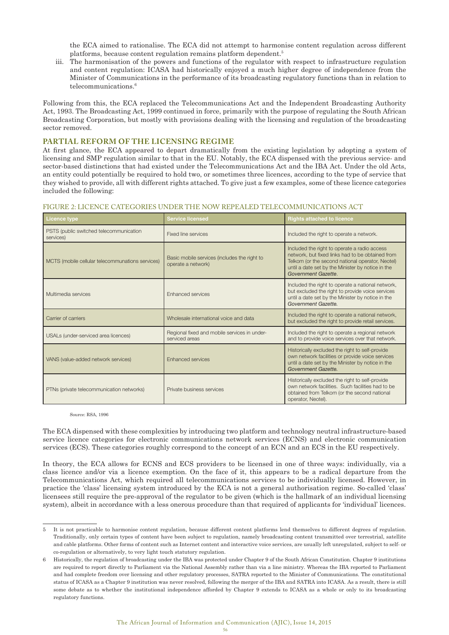the ECA aimed to rationalise. The ECA did not attempt to harmonise content regulation across different platforms, because content regulation remains platform dependent.5

iii. The harmonisation of the powers and functions of the regulator with respect to infrastructure regulation and content regulation: ICASA had historically enjoyed a much higher degree of independence from the Minister of Communications in the performance of its broadcasting regulatory functions than in relation to telecommunications.<sup>6</sup>

Following from this, the ECA replaced the Telecommunications Act and the Independent Broadcasting Authority Act, 1993. The Broadcasting Act, 1999 continued in force, primarily with the purpose of regulating the South African Broadcasting Corporation, but mostly with provisions dealing with the licensing and regulation of the broadcasting sector removed.

# **PARTIAL REFORM OF THE LICENSING REGIME**

At first glance, the ECA appeared to depart dramatically from the existing legislation by adopting a system of licensing and SMP regulation similar to that in the EU. Notably, the ECA dispensed with the previous service- and sector-based distinctions that had existed under the Telecommunications Act and the IBA Act. Under the old Acts, an entity could potentially be required to hold two, or sometimes three licences, according to the type of service that they wished to provide, all with different rights attached. To give just a few examples, some of these licence categories included the following:

| Licence type                                         | <b>Service licensed</b><br><b>Rights attached to licence</b>       |                                                                                                                                                                                                                                  |  |
|------------------------------------------------------|--------------------------------------------------------------------|----------------------------------------------------------------------------------------------------------------------------------------------------------------------------------------------------------------------------------|--|
| PSTS (public switched telecommunication<br>services) | Fixed line services                                                | Included the right to operate a network.                                                                                                                                                                                         |  |
| MCTS (mobile cellular telecommunations services)     | Basic mobile services (includes the right to<br>operate a network) | Included the right to operate a radio access<br>network, but fixed links had to be obtained from<br>Telkom (or the second national operator, Neotel)<br>until a date set by the Minister by notice in the<br>Government Gazette. |  |
| Multimedia services                                  | Enhanced services                                                  | Included the right to operate a national network,<br>but excluded the right to provide voice services<br>until a date set by the Minister by notice in the<br>Government Gazette.                                                |  |
| Carrier of carriers                                  | Wholesale international voice and data                             | Included the right to operate a national network,<br>but excluded the right to provide retail services.                                                                                                                          |  |
| USALs (under-serviced area licences)                 | Regional fixed and mobile services in under-<br>serviced areas     | Included the right to operate a regional network<br>and to provide voice services over that network.                                                                                                                             |  |
| VANS (value-added network services)                  | <b>Enhanced services</b>                                           | Historically excluded the right to self-provide<br>own network facilities or provide voice services<br>until a date set by the Minister by notice in the<br>Government Gazette.                                                  |  |
| PTNs (private telecommunication networks)            | Private business services                                          | Historically excluded the right to self-provide<br>own network facilities. Such facilities had to be<br>obtained from Telkom (or the second national<br>operator, Neotel).                                                       |  |

#### FIGURE 2: LICENCE CATEGORIES UNDER THE NOW REPEALED TELECOMMUNICATIONS ACT

Source: RSA, 1996

The ECA dispensed with these complexities by introducing two platform and technology neutral infrastructure-based service licence categories for electronic communications network services (ECNS) and electronic communication services (ECS). These categories roughly correspond to the concept of an ECN and an ECS in the EU respectively.

In theory, the ECA allows for ECNS and ECS providers to be licensed in one of three ways: individually, via a class licence and/or via a licence exemption. On the face of it, this appears to be a radical departure from the Telecommunications Act, which required all telecommunications services to be individually licensed. However, in practice the 'class' licensing system introduced by the ECA is not a general authorisation regime. So-called 'class' licensees still require the pre-approval of the regulator to be given (which is the hallmark of an individual licensing system), albeit in accordance with a less onerous procedure than that required of applicants for 'individual' licences.

<sup>5</sup> It is not practicable to harmonise content regulation, because different content platforms lend themselves to different degrees of regulation. Traditionally, only certain types of content have been subject to regulation, namely broadcasting content transmitted over terrestrial, satellite and cable platforms. Other forms of content such as Internet content and interactive voice services, are usually left unregulated, subject to self- or co-regulation or alternatively, to very light touch statutory regulation.

<sup>6</sup> Historically, the regulation of broadcasting under the IBA was protected under Chapter 9 of the South African Constitution. Chapter 9 institutions are required to report directly to Parliament via the National Assembly rather than via a line ministry. Whereas the IBA reported to Parliament and had complete freedom over licensing and other regulatory processes, SATRA reported to the Minister of Communications. The constitutional status of ICASA as a Chapter 9 institution was never resolved, following the merger of the IBA and SATRA into ICASA. As a result, there is still some debate as to whether the institutional independence afforded by Chapter 9 extends to ICASA as a whole or only to its broadcasting regulatory functions.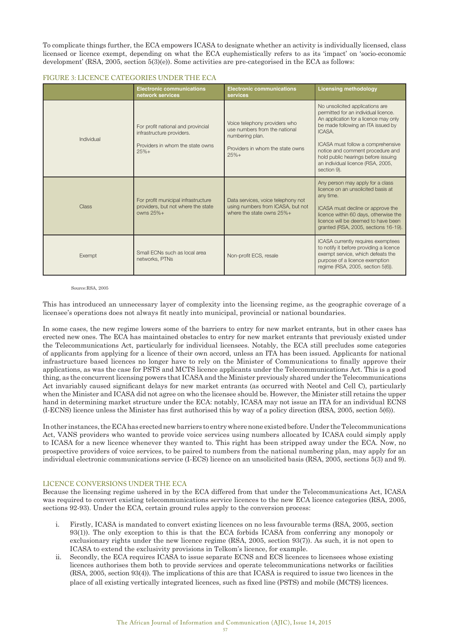To complicate things further, the ECA empowers ICASA to designate whether an activity is individually licensed, class licensed or licence exempt, depending on what the ECA euphemistically refers to as its 'impact' on 'socio-economic development' (RSA, 2005, section 5(3)(e)). Some activities are pre-categorised in the ECA as follows:

### FIGURE 3: LICENCE CATEGORIES UNDER THE ECA

|              | <b>Electronic communications</b><br>network services                                                          | <b>Electronic communications</b><br>services                                                                                    | <b>Licensing methodology</b>                                                                                                                                                                                                                                                                                                         |
|--------------|---------------------------------------------------------------------------------------------------------------|---------------------------------------------------------------------------------------------------------------------------------|--------------------------------------------------------------------------------------------------------------------------------------------------------------------------------------------------------------------------------------------------------------------------------------------------------------------------------------|
| Individual   | For profit national and provincial<br>infrastructure providers.<br>Providers in whom the state owns<br>$25%+$ | Voice telephony providers who<br>use numbers from the national<br>numbering plan.<br>Providers in whom the state owns<br>$25%+$ | No unsolicited applications are<br>permitted for an individual licence.<br>An application for a licence may only<br>be made following an ITA issued by<br>ICASA.<br>ICASA must follow a comprehensive<br>notice and comment procedure and<br>hold public hearings before issuing<br>an individual licence (RSA, 2005,<br>section 9). |
| <b>Class</b> | For profit municipal infrastructure<br>providers, but not where the state<br>owns $25%$ +                     | Data services, voice telephony not<br>using numbers from ICASA, but not<br>where the state owns $25\% +$                        | Any person may apply for a class<br>licence on an unsolicited basis at<br>any time.<br>ICASA must decline or approve the<br>licence within 60 days, otherwise the<br>licence will be deemed to have been<br>granted (RSA, 2005, sections 16-19).                                                                                     |
| Exempt       | Small ECNs such as local area<br>networks, PTNs                                                               | Non-profit ECS, resale                                                                                                          | ICASA currently requires exemptees<br>to notify it before providing a licence<br>exempt service, which defeats the<br>purpose of a licence exemption<br>regime (RSA, 2005, section 5(6)).                                                                                                                                            |

Source:RSA, 2005

This has introduced an unnecessary layer of complexity into the licensing regime, as the geographic coverage of a licensee's operations does not always fit neatly into municipal, provincial or national boundaries.

In some cases, the new regime lowers some of the barriers to entry for new market entrants, but in other cases has erected new ones. The ECA has maintained obstacles to entry for new market entrants that previously existed under the Telecommunications Act, particularly for individual licensees. Notably, the ECA still precludes some categories of applicants from applying for a licence of their own accord, unless an ITA has been issued. Applicants for national infrastructure based licences no longer have to rely on the Minister of Communications to finally approve their applications, as was the case for PSTS and MCTS licence applicants under the Telecommunications Act. This is a good thing, as the concurrent licensing powers that ICASA and the Minister previously shared under the Telecommunications Act invariably caused significant delays for new market entrants (as occurred with Neotel and Cell C), particularly when the Minister and ICASA did not agree on who the licensee should be. However, the Minister still retains the upper hand in determining market structure under the ECA: notably, ICASA may not issue an ITA for an individual ECNS (I-ECNS) licence unless the Minister has first authorised this by way of a policy direction (RSA, 2005, section 5(6)).

In other instances, the ECA has erected new barriers to entry where none existed before. Under the Telecommunications Act, VANS providers who wanted to provide voice services using numbers allocated by ICASA could simply apply to ICASA for a new licence whenever they wanted to. This right has been stripped away under the ECA. Now, no prospective providers of voice services, to be paired to numbers from the national numbering plan, may apply for an individual electronic communications service (I-ECS) licence on an unsolicited basis (RSA, 2005, sections 5(3) and 9).

# LICENCE CONVERSIONS UNDER THE ECA

Because the licensing regime ushered in by the ECA differed from that under the Telecommunications Act, ICASA was required to convert existing telecommunications service licences to the new ECA licence categories (RSA, 2005, sections 92-93). Under the ECA, certain ground rules apply to the conversion process:

- i. Firstly, ICASA is mandated to convert existing licences on no less favourable terms (RSA, 2005, section 93(1)). The only exception to this is that the ECA forbids ICASA from conferring any monopoly or exclusionary rights under the new licence regime (RSA, 2005, section 93(7)). As such, it is not open to ICASA to extend the exclusivity provisions in Telkom's licence, for example.
- ii. Secondly, the ECA requires ICASA to issue separate ECNS and ECS licences to licensees whose existing licences authorises them both to provide services and operate telecommunications networks or facilities (RSA, 2005, section 93(4)). The implications of this are that ICASA is required to issue two licences in the place of all existing vertically integrated licences, such as fixed line (PSTS) and mobile (MCTS) licences.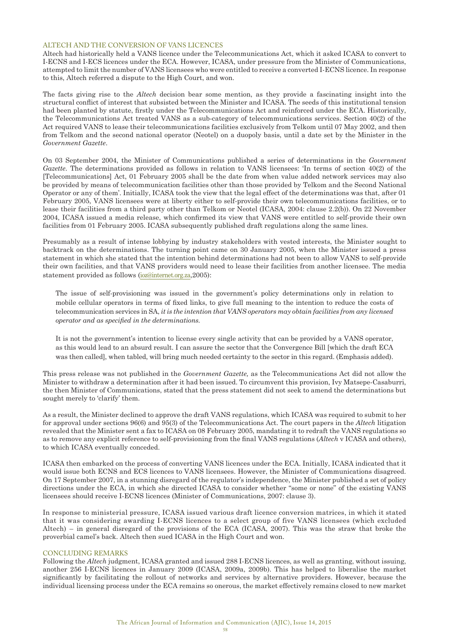# ALTECH AND THE CONVERSION OF VANS LICENCES

Altech had historically held a VANS licence under the Telecommunications Act, which it asked ICASA to convert to I-ECNS and I-ECS licences under the ECA. However, ICASA, under pressure from the Minister of Communications, attempted to limit the number of VANS licensees who were entitled to receive a converted I-ECNS licence. In response to this, Altech referred a dispute to the High Court, and won.

The facts giving rise to the *Altech* decision bear some mention, as they provide a fascinating insight into the structural conflict of interest that subsisted between the Minister and ICASA. The seeds of this institutional tension had been planted by statute, firstly under the Telecommunications Act and reinforced under the ECA. Historically, the Telecommunications Act treated VANS as a sub-category of telecommunications services. Section 40(2) of the Act required VANS to lease their telecommunications facilities exclusively from Telkom until 07 May 2002, and then from Telkom and the second national operator (Neotel) on a duopoly basis, until a date set by the Minister in the *Government Gazette*.

On 03 September 2004, the Minister of Communications published a series of determinations in the *Government Gazette*. The determinations provided as follows in relation to VANS licensees: 'In terms of section 40(2) of the [Telecommunications] Act, 01 February 2005 shall be the date from when value added network services may also be provided by means of telecommunication facilities other than those provided by Telkom and the Second National Operator or any of them'. Initially, ICASA took the view that the legal effect of the determinations was that, after 01 February 2005, VANS licensees were at liberty either to self-provide their own telecommunications facilities, or to lease their facilities from a third party other than Telkom or Neotel (ICASA, 2004: clause 2.2(b)). On 22 November 2004, ICASA issued a media release, which confirmed its view that VANS were entitled to self-provide their own facilities from 01 February 2005. ICASA subsequently published draft regulations along the same lines.

Presumably as a result of intense lobbying by industry stakeholders with vested interests, the Minister sought to backtrack on the determinations. The turning point came on 30 January 2005, when the Minister issued a press statement in which she stated that the intention behind determinations had not been to allow VANS to self-provide their own facilities, and that VANS providers would need to lease their facilities from another licensee. The media statement provided as follows (ioz@internet.org.za,2005):

The issue of self-provisioning was issued in the government's policy determinations only in relation to mobile cellular operators in terms of fixed links, to give full meaning to the intention to reduce the costs of telecommunication services in SA, *it is the intention that VANS operators may obtain facilities from any licensed operator and as specified in the determinations.* 

It is not the government's intention to license every single activity that can be provided by a VANS operator, as this would lead to an absurd result. I can assure the sector that the Convergence Bill [which the draft ECA was then called], when tabled, will bring much needed certainty to the sector in this regard. (Emphasis added).

This press release was not published in the *Government Gazette,* as the Telecommunications Act did not allow the Minister to withdraw a determination after it had been issued. To circumvent this provision, Ivy Matsepe-Casaburri, the then Minister of Communications, stated that the press statement did not seek to amend the determinations but sought merely to 'clarify' them.

As a result, the Minister declined to approve the draft VANS regulations, which ICASA was required to submit to her for approval under sections 96(6) and 95(3) of the Telecommunications Act. The court papers in the *Altech* litigation revealed that the Minister sent a fax to ICASA on 08 February 2005, mandating it to redraft the VANS regulations so as to remove any explicit reference to self-provisioning from the final VANS regulations (*Altech* v ICASA and others), to which ICASA eventually conceded.

ICASA then embarked on the process of converting VANS licences under the ECA. Initially, ICASA indicated that it would issue both ECNS and ECS licences to VANS licensees. However, the Minister of Communications disagreed. On 17 September 2007, in a stunning disregard of the regulator's independence, the Minister published a set of policy directions under the ECA, in which she directed ICASA to consider whether "some or none" of the existing VANS licensees should receive I-ECNS licences (Minister of Communications, 2007: clause 3).

In response to ministerial pressure, ICASA issued various draft licence conversion matrices, in which it stated that it was considering awarding I-ECNS licences to a select group of five VANS licensees (which excluded Altech) – in general disregard of the provisions of the ECA (ICASA, 2007). This was the straw that broke the proverbial camel's back. Altech then sued ICASA in the High Court and won.

### CONCLUDING REMARKS

Following the *Altech* judgment, ICASA granted and issued 288 I-ECNS licences, as well as granting, without issuing, another 256 I-ECNS licences in January 2009 (ICASA, 2009a, 2009b). This has helped to liberalise the market significantly by facilitating the rollout of networks and services by alternative providers. However, because the individual licensing process under the ECA remains so onerous, the market effectively remains closed to new market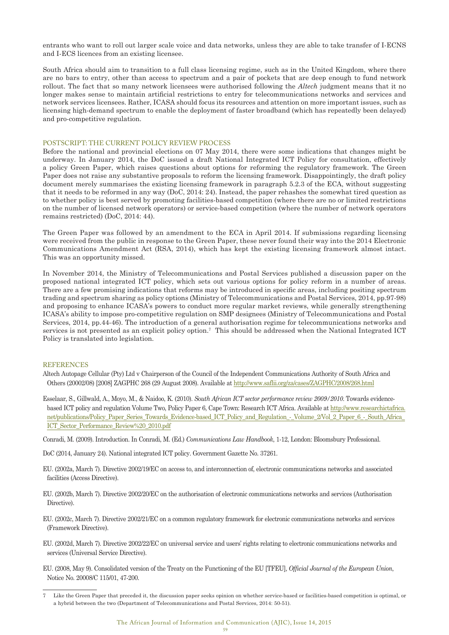entrants who want to roll out larger scale voice and data networks, unless they are able to take transfer of I-ECNS and I-ECS licences from an existing licensee.

South Africa should aim to transition to a full class licensing regime, such as in the United Kingdom, where there are no bars to entry, other than access to spectrum and a pair of pockets that are deep enough to fund network rollout. The fact that so many network licensees were authorised following the *Altech* judgment means that it no longer makes sense to maintain artificial restrictions to entry for telecommunications networks and services and network services licensees. Rather, ICASA should focus its resources and attention on more important issues, such as licensing high-demand spectrum to enable the deployment of faster broadband (which has repeatedly been delayed) and pro-competitive regulation.

#### POSTSCRIPT: THE CURRENT POLICY REVIEW PROCESS

Before the national and provincial elections on 07 May 2014, there were some indications that changes might be underway. In January 2014, the DoC issued a draft National Integrated ICT Policy for consultation, effectively a policy Green Paper, which raises questions about options for reforming the regulatory framework. The Green Paper does not raise any substantive proposals to reform the licensing framework. Disappointingly, the draft policy document merely summarises the existing licensing framework in paragraph 5.2.3 of the ECA, without suggesting that it needs to be reformed in any way (DoC, 2014: 24). Instead, the paper rehashes the somewhat tired question as to whether policy is best served by promoting facilities-based competition (where there are no or limited restrictions on the number of licensed network operators) or service-based competition (where the number of network operators remains restricted) (DoC, 2014: 44).

The Green Paper was followed by an amendment to the ECA in April 2014. If submissions regarding licensing were received from the public in response to the Green Paper, these never found their way into the 2014 Electronic Communications Amendment Act (RSA, 2014), which has kept the existing licensing framework almost intact. This was an opportunity missed.

In November 2014, the Ministry of Telecommunications and Postal Services published a discussion paper on the proposed national integrated ICT policy, which sets out various options for policy reform in a number of areas. There are a few promising indications that reforms may be introduced in specific areas, including positing spectrum trading and spectrum sharing as policy options (Ministry of Telecommunications and Postal Services, 2014, pp.97-98) and proposing to enhance ICASA's powers to conduct more regular market reviews, while generally strengthening ICASA's ability to impose pro-competitive regulation on SMP designees (Ministry of Telecommunications and Postal Services, 2014, pp.44-46). The introduction of a general authorisation regime for telecommunications networks and services is not presented as an explicit policy option.<sup>7</sup> This should be addressed when the National Integrated ICT Policy is translated into legislation.

#### **REFERENCES**

Altech Autopage Cellular (Pty) Ltd v Chairperson of the Council of the Independent Communications Authority of South Africa and Others (20002/08) [2008] ZAGPHC 268 (29 August 2008). Available at http://www.saflii.org/za/cases/ZAGPHC/2008/268.html

- Esselaar, S., Gillwald, A., Moyo, M., & Naidoo, K. (2010). *South African ICT sector performance review 2009/2010*. Towards evidencebased ICT policy and regulation Volume Two, Policy Paper 6, Cape Town: Research ICT Africa. Available at http://www.researchictafrica. net/publications/Policy\_Paper\_Series\_Towards\_Evidence-based\_ICT\_Policy\_and\_Regulation\_-\_Volume\_2/Vol\_2\_Paper\_6\_-\_South\_Africa\_ ICT\_Sector\_Performance\_Review%20\_2010.pdf
- Conradi, M. (2009). Introduction. In Conradi, M. (Ed.) *Communications Law Handbook*, 1-12, London: Bloomsbury Professional.
- DoC (2014, January 24). National integrated ICT policy. Government Gazette No. 37261.
- EU. (2002a, March 7). Directive 2002/19/EC on access to, and interconnection of, electronic communications networks and associated facilities (Access Directive).
- EU. (2002b, March 7). Directive 2002/20/EC on the authorisation of electronic communications networks and services (Authorisation Directive).
- EU. (2002c, March 7). Directive 2002/21/EC on a common regulatory framework for electronic communications networks and services (Framework Directive).
- EU. (2002d, March 7). Directive 2002/22/EC on universal service and users' rights relating to electronic communications networks and services (Universal Service Directive).
- EU. (2008, May 9). Consolidated version of the Treaty on the Functioning of the EU [TFEU], *Official Journal of the European Union*, Notice No. 20008/C 115/01, 47-200.

<sup>7</sup> Like the Green Paper that preceded it, the discussion paper seeks opinion on whether service-based or facilities-based competition is optimal, or a hybrid between the two (Department of Telecommunications and Postal Services, 2014: 50-51).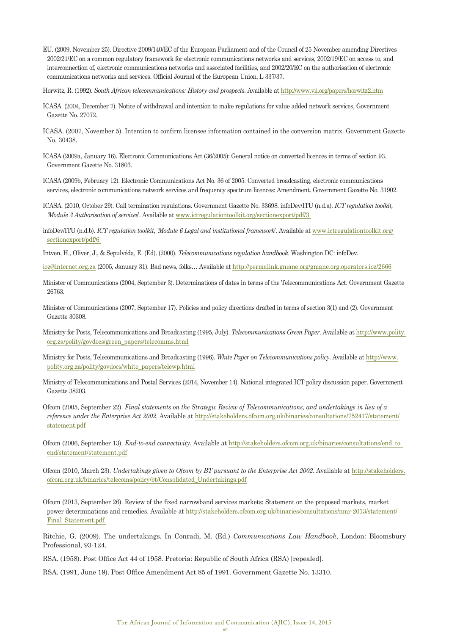- EU. (2009, November 25). Directive 2009/140/EC of the European Parliament and of the Council of 25 November amending Directives 2002/21/EC on a common regulatory framework for electronic communications networks and services, 2002/19/EC on access to, and interconnection of, electronic communications networks and associated facilities, and 2002/20/EC on the authorisation of electronic communications networks and services. Official Journal of the European Union, L 337/37.
- Horwitz, R. (1992). *South African telecommunications: History and prospects*. Available at http://www.vii.org/papers/horwitz2.htm
- ICASA. (2004, December 7). Notice of withdrawal and intention to make regulations for value added network services, Government Gazette No. 27072.
- ICASA. (2007, November 5). Intention to confirm licensee information contained in the conversion matrix. Government Gazette No. 30438.
- ICASA (2009a, January 16). Electronic Communications Act (36/2005): General notice on converted licences in terms of section 93. Government Gazette No. 31803.
- ICASA (2009b, February 12). Electronic Communications Act No. 36 of 2005: Converted broadcasting, electronic communications services, electronic communications network services and frequency spectrum licences: Amendment. Government Gazette No. 31902.
- ICASA. (2010, October 29). Call termination regulations. Government Gazette No. 33698. infoDev/ITU (n.d.a). *ICT regulation toolkit, 'Module 3 Authorisation of services*'. Available at www.ictregulationtoolkit.org/sectionexport/pdf/3
- infoDev/ITU (n.d.b). *ICT regulation toolkit, 'Module 6 Legal and institutional framework*'. Available at www.ictregulationtoolkit.org/ sectionexport/pdf/6
- Intven, H., Oliver, J., & Sepulvéda, E. (Ed). (2000). *Telecommunications regulation handbook*. Washington DC: infoDev.
- ioz@internet.org.za (2005, January 31). Bad news, folks… Available at http://permalink.gmane.org/gmane.org.operators.ioz/2666
- Minister of Communications (2004, September 3). Determinations of dates in terms of the Telecommunications Act. Government Gazette 26763.
- Minister of Communications (2007, September 17). Policies and policy directions drafted in terms of section 3(1) and (2). Government Gazette 30308.
- Ministry for Posts, Telecommunications and Broadcasting (1995, July). *Telecommunications Green Paper*. Available at http://www.polity. org.za/polity/govdocs/green\_papers/telecomms.html
- Ministry for Posts, Telecommunications and Broadcasting (1996). *White Paper on Telecommunications policy*. Available at http://www. polity.org.za/polity/govdocs/white\_papers/telewp.html
- Ministry of Telecommunications and Postal Services (2014, November 14). National integrated ICT policy discussion paper. Government Gazette 38203.
- Ofcom (2005, September 22). *Final statements on the Strategic Review of Telecommunications, and undertakings in lieu of a reference under the Enterprise Act 2002*. Available at http://stakeholders.ofcom.org.uk/binaries/consultations/752417/statement/ statement.pdf
- Ofcom (2006, September 13). *End-to-end connectivity*. Available at http://stakeholders.ofcom.org.uk/binaries/consultations/end\_to\_ end/statement/statement.pdf
- Ofcom (2010, March 23). *Undertakings given to Ofcom by BT pursuant to the Enterprise Act 2002*. Available at http://stakeholders. ofcom.org.uk/binaries/telecoms/policy/bt/Consolidated\_Undertakings.pdf
- Ofcom (2013, September 26). Review of the fixed narrowband services markets: Statement on the proposed markets, market power determinations and remedies. Available at http://stakeholders.ofcom.org.uk/binaries/consultations/nmr-2013/statement/ Final\_Statement.pdf
- Ritchie, G. (2009). The undertakings. In Conradi, M. (Ed.) *Communications Law Handbook*, London: Bloomsbury Professional, 93-124.
- RSA. (1958). Post Office Act 44 of 1958. Pretoria: Republic of South Africa (RSA) [repealed].
- RSA. (1991, June 19). Post Office Amendment Act 85 of 1991. Government Gazette No. 13310.